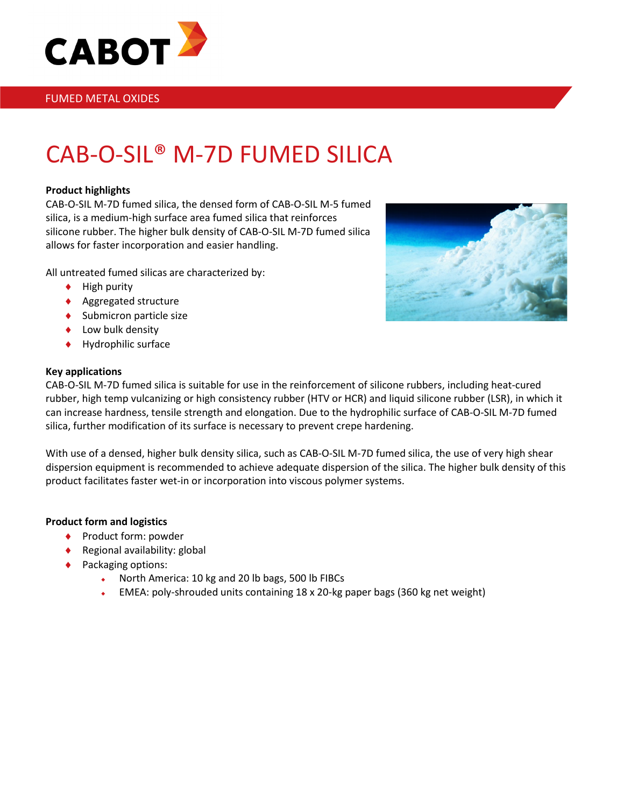

### FUMED METAL OXIDES

# CAB-O-SIL® M-7D FUMED SILICA

#### **Product highlights**

CAB-O-SIL M-7D fumed silica, the densed form of CAB-O-SIL M-5 fumed silica, is a medium-high surface area fumed silica that reinforces silicone rubber. The higher bulk density of CAB-O-SIL M-7D fumed silica allows for faster incorporation and easier handling.

All untreated fumed silicas are characterized by:

- ♦ High purity
- ♦ Aggregated structure
- ♦ Submicron particle size
- ♦ Low bulk density
- ♦ Hydrophilic surface

#### **Key applications**



CAB-O-SIL M-7D fumed silica is suitable for use in the reinforcement of silicone rubbers, including heat-cured rubber, high temp vulcanizing or high consistency rubber (HTV or HCR) and liquid silicone rubber (LSR), in which it can increase hardness, tensile strength and elongation. Due to the hydrophilic surface of CAB-O-SIL M-7D fumed silica, further modification of its surface is necessary to prevent crepe hardening.

With use of a densed, higher bulk density silica, such as CAB-O-SIL M-7D fumed silica, the use of very high shear dispersion equipment is recommended to achieve adequate dispersion of the silica. The higher bulk density of this product facilitates faster wet-in or incorporation into viscous polymer systems.

#### **Product form and logistics**

- ♦ Product form: powder
- $\triangle$  Regional availability: global
- ♦ Packaging options:
	- North America: 10 kg and 20 lb bags, 500 lb FIBCs
	- EMEA: poly-shrouded units containing 18 x 20-kg paper bags (360 kg net weight)